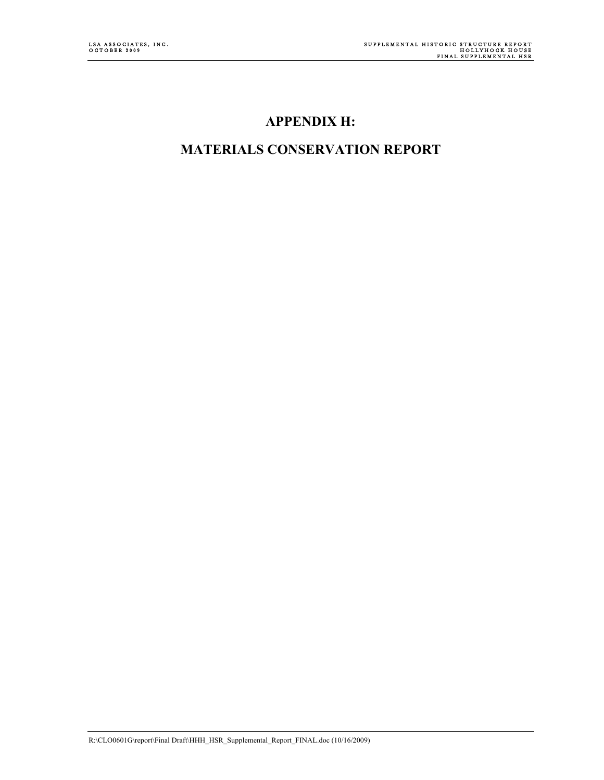### **APPENDIX H:**

### **MATERIALS CONSERVATION REPORT**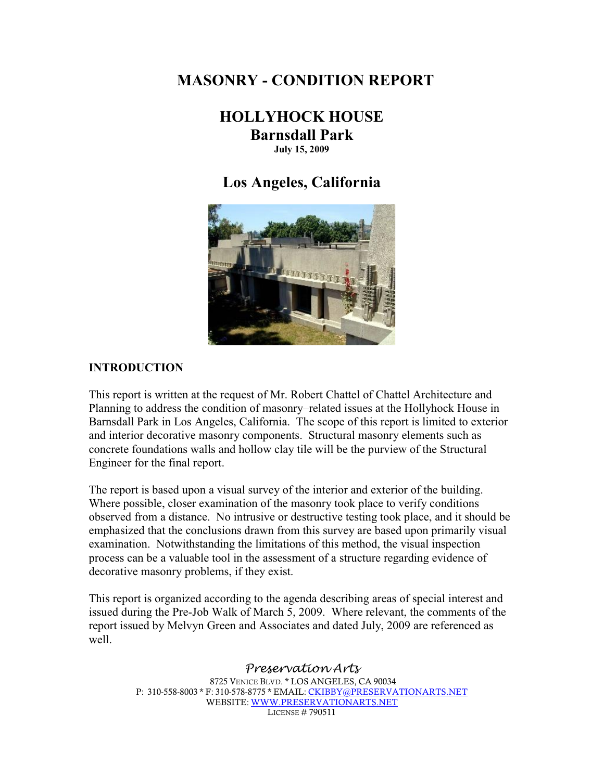### **MASONRY - CONDITION REPORT**

### **HOLLYHOCK HOUSE Barnsdall Park July 15, 2009**

### **Los Angeles, California**



#### **INTRODUCTION**

This report is written at the request of Mr. Robert Chattel of Chattel Architecture and Planning to address the condition of masonry-related issues at the Hollyhock House in Barnsdall Park in Los Angeles, California. The scope of this report is limited to exterior and interior decorative masonry components. Structural masonry elements such as concrete foundations walls and hollow clay tile will be the purview of the Structural Engineer for the final report.

The report is based upon a visual survey of the interior and exterior of the building. Where possible, closer examination of the masonry took place to verify conditions observed from a distance. No intrusive or destructive testing took place, and it should be emphasized that the conclusions drawn from this survey are based upon primarily visual examination. Notwithstanding the limitations of this method, the visual inspection process can be a valuable tool in the assessment of a structure regarding evidence of decorative masonry problems, if they exist.

This report is organized according to the agenda describing areas of special interest and issued during the Pre-Job Walk of March 5, 2009. Where relevant, the comments of the report issued by Melvyn Green and Associates and dated July, 2009 are referenced as well.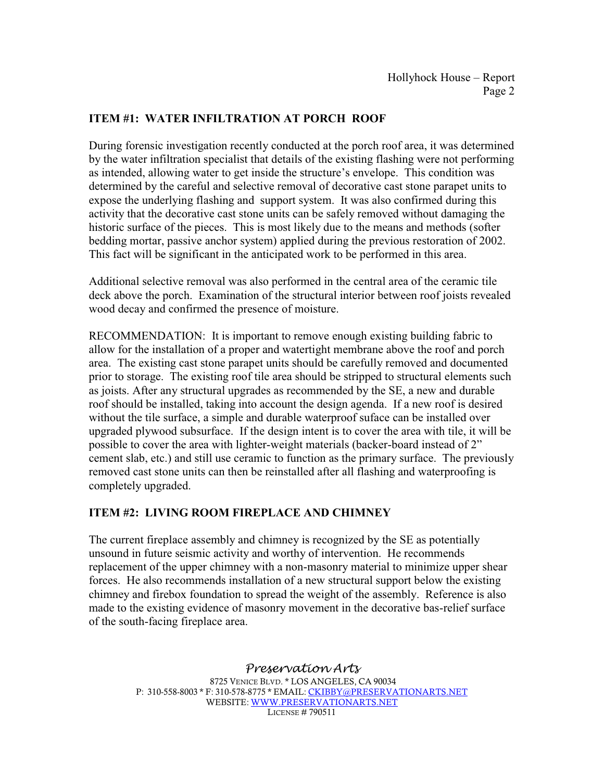### **ITEM #1: WATER INFILTRATION AT PORCH ROOF**

During forensic investigation recently conducted at the porch roof area, it was determined by the water infiltration specialist that details of the existing flashing were not performing as intended, allowing water to get inside the structure's envelope. This condition was determined by the careful and selective removal of decorative cast stone parapet units to expose the underlying flashing and support system. It was also confirmed during this activity that the decorative cast stone units can be safely removed without damaging the historic surface of the pieces. This is most likely due to the means and methods (softer bedding mortar, passive anchor system) applied during the previous restoration of 2002. This fact will be significant in the anticipated work to be performed in this area.

Additional selective removal was also performed in the central area of the ceramic tile deck above the porch. Examination of the structural interior between roof joists revealed wood decay and confirmed the presence of moisture.

RECOMMENDATION: It is important to remove enough existing building fabric to allow for the installation of a proper and watertight membrane above the roof and porch area. The existing cast stone parapet units should be carefully removed and documented prior to storage. The existing roof tile area should be stripped to structural elements such as joists. After any structural upgrades as recommended by the SE, a new and durable roof should be installed, taking into account the design agenda. If a new roof is desired without the tile surface, a simple and durable waterproof suface can be installed over upgraded plywood subsurface. If the design intent is to cover the area with tile, it will be possible to cover the area with lighter-weight materials (backer-board instead of  $2<sup>o</sup>$ ) cement slab, etc.) and still use ceramic to function as the primary surface. The previously removed cast stone units can then be reinstalled after all flashing and waterproofing is completely upgraded.

#### **ITEM #2: LIVING ROOM FIREPLACE AND CHIMNEY**

The current fireplace assembly and chimney is recognized by the SE as potentially unsound in future seismic activity and worthy of intervention. He recommends replacement of the upper chimney with a non-masonry material to minimize upper shear forces. He also recommends installation of a new structural support below the existing chimney and firebox foundation to spread the weight of the assembly. Reference is also made to the existing evidence of masonry movement in the decorative bas-relief surface of the south-facing fireplace area.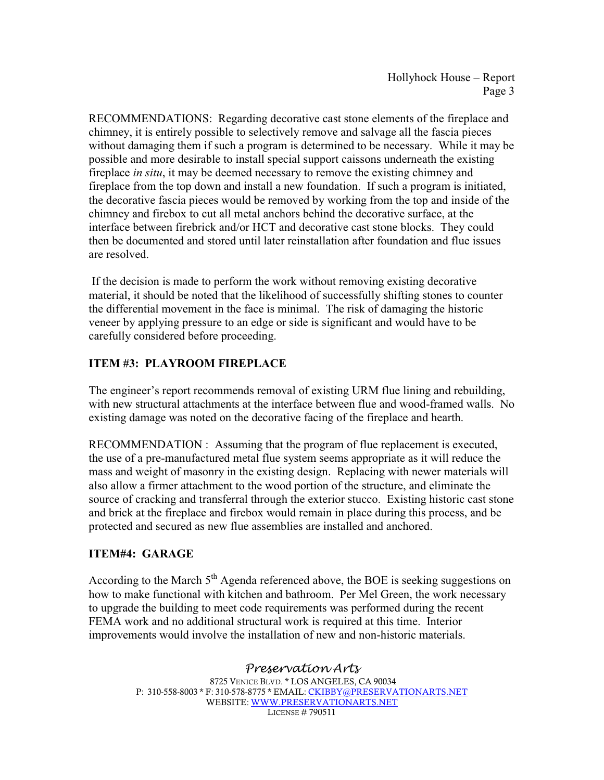RECOMMENDATIONS: Regarding decorative cast stone elements of the fireplace and chimney, it is entirely possible to selectively remove and salvage all the fascia pieces without damaging them if such a program is determined to be necessary. While it may be possible and more desirable to install special support caissons underneath the existing fireplace *in situ*, it may be deemed necessary to remove the existing chimney and fireplace from the top down and install a new foundation. If such a program is initiated, the decorative fascia pieces would be removed by working from the top and inside of the chimney and firebox to cut all metal anchors behind the decorative surface, at the interface between firebrick and/or HCT and decorative cast stone blocks. They could then be documented and stored until later reinstallation after foundation and flue issues are resolved.

 If the decision is made to perform the work without removing existing decorative material, it should be noted that the likelihood of successfully shifting stones to counter the differential movement in the face is minimal. The risk of damaging the historic veneer by applying pressure to an edge or side is significant and would have to be carefully considered before proceeding.

### **ITEM #3: PLAYROOM FIREPLACE**

The engineer's report recommends removal of existing URM flue lining and rebuilding, with new structural attachments at the interface between flue and wood-framed walls. No existing damage was noted on the decorative facing of the fireplace and hearth.

RECOMMENDATION : Assuming that the program of flue replacement is executed, the use of a pre-manufactured metal flue system seems appropriate as it will reduce the mass and weight of masonry in the existing design. Replacing with newer materials will also allow a firmer attachment to the wood portion of the structure, and eliminate the source of cracking and transferral through the exterior stucco. Existing historic cast stone and brick at the fireplace and firebox would remain in place during this process, and be protected and secured as new flue assemblies are installed and anchored.

### **ITEM#4: GARAGE**

According to the March  $5<sup>th</sup>$  Agenda referenced above, the BOE is seeking suggestions on how to make functional with kitchen and bathroom. Per Mel Green, the work necessary to upgrade the building to meet code requirements was performed during the recent FEMA work and no additional structural work is required at this time. Interior improvements would involve the installation of new and non-historic materials.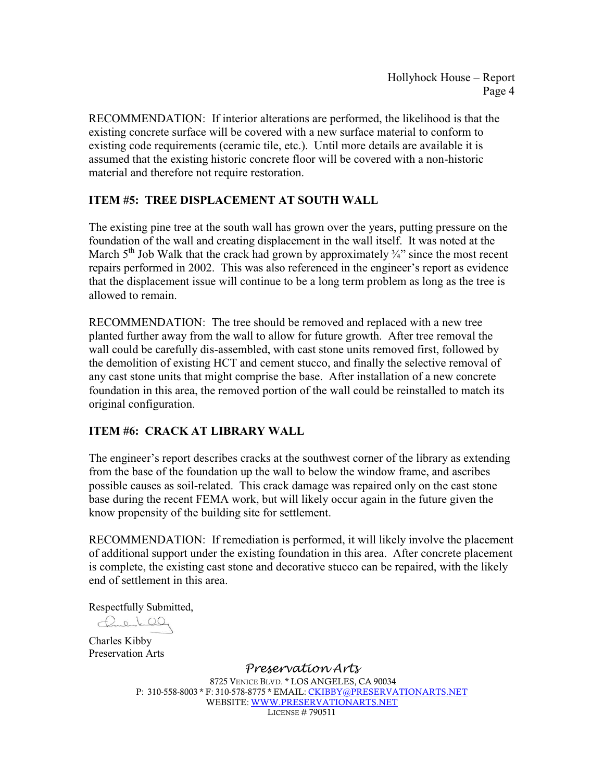RECOMMENDATION: If interior alterations are performed, the likelihood is that the existing concrete surface will be covered with a new surface material to conform to existing code requirements (ceramic tile, etc.). Until more details are available it is assumed that the existing historic concrete floor will be covered with a non-historic material and therefore not require restoration.

### **ITEM #5: TREE DISPLACEMENT AT SOUTH WALL**

The existing pine tree at the south wall has grown over the years, putting pressure on the foundation of the wall and creating displacement in the wall itself. It was noted at the March 5<sup>th</sup> Job Walk that the crack had grown by approximately  $\frac{3}{4}$  since the most recent repairs performed in 2002. This was also referenced in the engineer's report as evidence that the displacement issue will continue to be a long term problem as long as the tree is allowed to remain.

RECOMMENDATION: The tree should be removed and replaced with a new tree planted further away from the wall to allow for future growth. After tree removal the wall could be carefully dis-assembled, with cast stone units removed first, followed by the demolition of existing HCT and cement stucco, and finally the selective removal of any cast stone units that might comprise the base. After installation of a new concrete foundation in this area, the removed portion of the wall could be reinstalled to match its original configuration.

### **ITEM #6: CRACK AT LIBRARY WALL**

The engineer's report describes cracks at the southwest corner of the library as extending from the base of the foundation up the wall to below the window frame, and ascribes possible causes as soil-related. This crack damage was repaired only on the cast stone base during the recent FEMA work, but will likely occur again in the future given the know propensity of the building site for settlement.

RECOMMENDATION: If remediation is performed, it will likely involve the placement of additional support under the existing foundation in this area. After concrete placement is complete, the existing cast stone and decorative stucco can be repaired, with the likely end of settlement in this area.

Respectfully Submitted,

Carlied

Charles Kibby Preservation Arts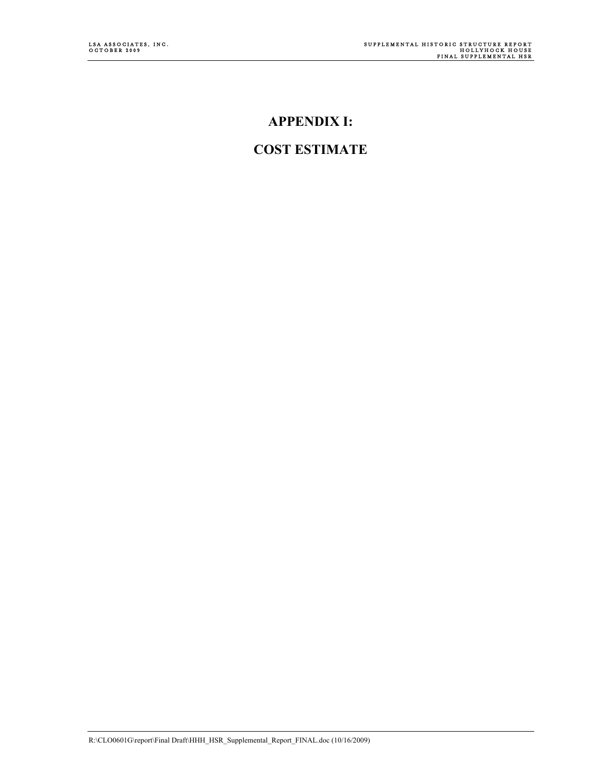### **APPENDIX I:**

### **COST ESTIMATE**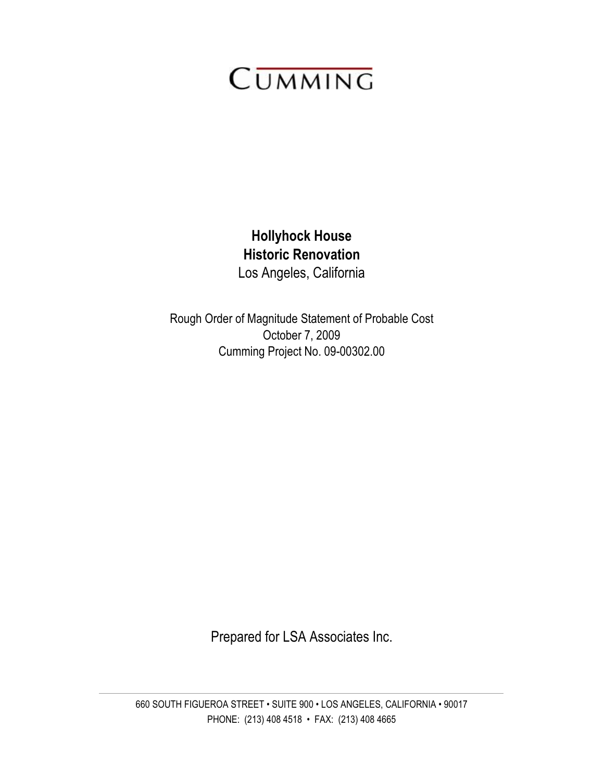# CUMMING

### **Hollyhock House** Los Angeles, California **Historic Renovation**

Rough Order of Magnitude Statement of Probable Cost October 7, 2009 Cumming Project No. 09-00302.00

Prepared for LSA Associates Inc.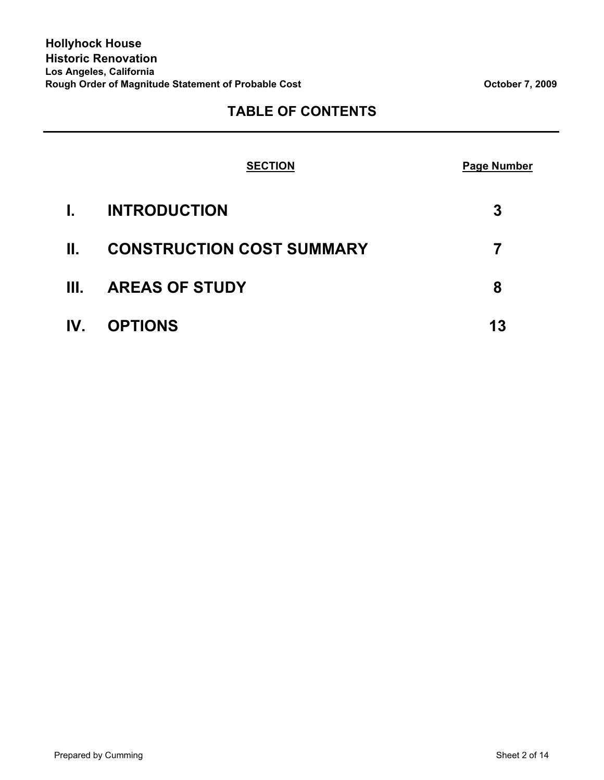### **TABLE OF CONTENTS**

|         | <b>SECTION</b>                   | <b>Page Number</b> |
|---------|----------------------------------|--------------------|
| Ι.      | <b>INTRODUCTION</b>              | 3                  |
| $\Pi$ . | <b>CONSTRUCTION COST SUMMARY</b> | 7                  |
| III.    | <b>AREAS OF STUDY</b>            | 8                  |
| IV.     | <b>OPTIONS</b>                   | 13                 |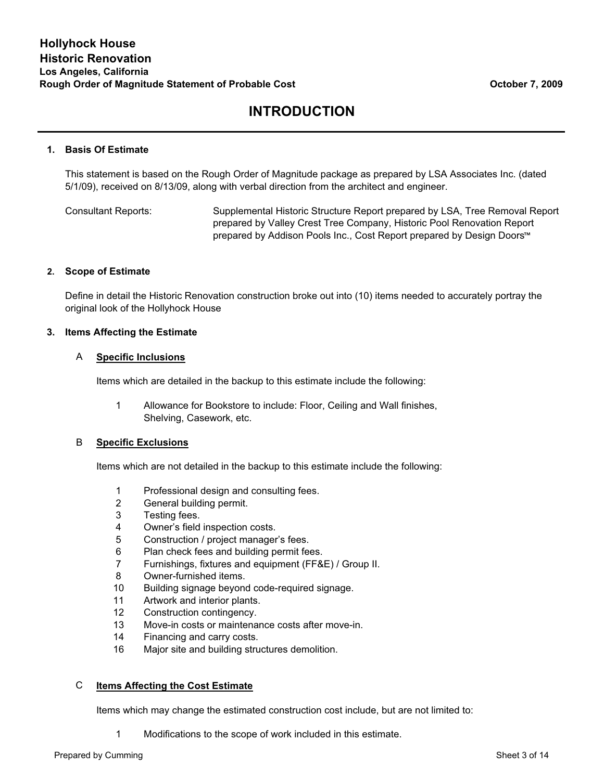#### **1. Basis Of Estimate**

This statement is based on the Rough Order of Magnitude package as prepared by LSA Associates Inc. (dated 5/1/09), received on 8/13/09, along with verbal direction from the architect and engineer.

Consultant Reports: Supplemental Historic Structure Report prepared by LSA, Tree Removal Report prepared by Valley Crest Tree Company, Historic Pool Renovation Report prepared by Addison Pools Inc., Cost Report prepared by Design Doors™

#### **2. Scope of Estimate**

Define in detail the Historic Renovation construction broke out into (10) items needed to accurately portray the original look of the Hollyhock House

#### **3. Items Affecting the Estimate**

#### A **Specific Inclusions**

Items which are detailed in the backup to this estimate include the following:

1 Allowance for Bookstore to include: Floor, Ceiling and Wall finishes, Shelving, Casework, etc.

#### B **Specific Exclusions**

Items which are not detailed in the backup to this estimate include the following:

- 1 Professional design and consulting fees.
- 2 General building permit.
- 3 Testing fees.
- 4 Owner's field inspection costs.
- 5 Construction / project manager's fees.
- 6 Plan check fees and building permit fees.
- 7 Furnishings, fixtures and equipment (FF&E) / Group II.
- 8 Owner-furnished items.
- 10 Building signage beyond code-required signage.
- 11 Artwork and interior plants.
- 12 Construction contingency.
- 13 Move-in costs or maintenance costs after move-in.
- 14 Financing and carry costs.
- 16 Major site and building structures demolition.

#### C **Items Affecting the Cost Estimate**

Items which may change the estimated construction cost include, but are not limited to:

1 Modifications to the scope of work included in this estimate.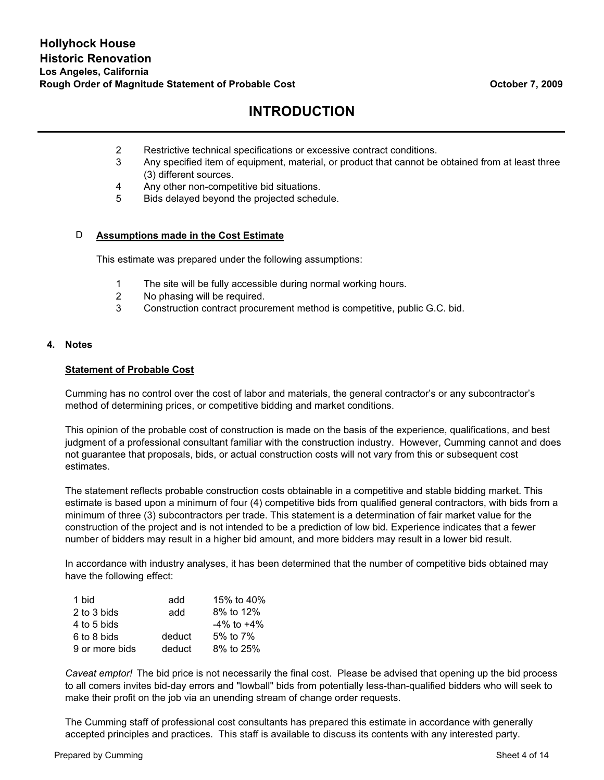- 2 Restrictive technical specifications or excessive contract conditions.
- 3 Any specified item of equipment, material, or product that cannot be obtained from at least three (3) different sources.
- 4 Any other non-competitive bid situations.
- 5 Bids delayed beyond the projected schedule.

#### D **Assumptions made in the Cost Estimate**

This estimate was prepared under the following assumptions:

- 1 The site will be fully accessible during normal working hours.
- 2 No phasing will be required.
- 3 Construction contract procurement method is competitive, public G.C. bid.

#### **4. Notes**

#### **Statement of Probable Cost**

Cumming has no control over the cost of labor and materials, the general contractor's or any subcontractor's method of determining prices, or competitive bidding and market conditions.

This opinion of the probable cost of construction is made on the basis of the experience, qualifications, and best judgment of a professional consultant familiar with the construction industry. However, Cumming cannot and does not guarantee that proposals, bids, or actual construction costs will not vary from this or subsequent cost estimates.

The statement reflects probable construction costs obtainable in a competitive and stable bidding market. This estimate is based upon a minimum of four (4) competitive bids from qualified general contractors, with bids from a minimum of three (3) subcontractors per trade. This statement is a determination of fair market value for the construction of the project and is not intended to be a prediction of low bid. Experience indicates that a fewer number of bidders may result in a higher bid amount, and more bidders may result in a lower bid result.

In accordance with industry analyses, it has been determined that the number of competitive bids obtained may have the following effect:

| 1 bid          | add    | 15% to 40%       |
|----------------|--------|------------------|
| 2 to 3 bids    | add    | 8% to 12%        |
| 4 to 5 bids    |        | $-4\%$ to $+4\%$ |
| 6 to 8 bids    | deduct | 5% to $7\%$      |
| 9 or more bids | deduct | 8% to 25%        |

*Caveat emptor!* The bid price is not necessarily the final cost. Please be advised that opening up the bid process to all comers invites bid-day errors and "lowball" bids from potentially less-than-qualified bidders who will seek to make their profit on the job via an unending stream of change order requests.

The Cumming staff of professional cost consultants has prepared this estimate in accordance with generally accepted principles and practices. This staff is available to discuss its contents with any interested party.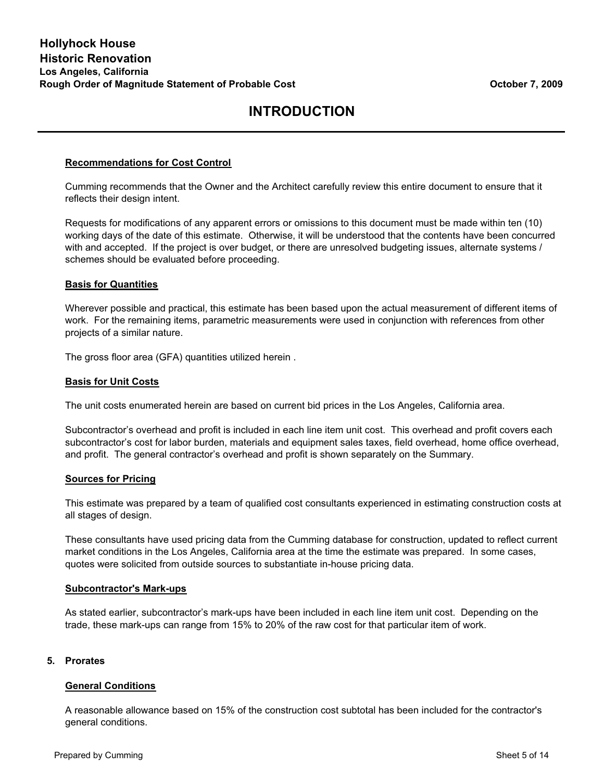#### **Recommendations for Cost Control**

Cumming recommends that the Owner and the Architect carefully review this entire document to ensure that it reflects their design intent.

Requests for modifications of any apparent errors or omissions to this document must be made within ten (10) working days of the date of this estimate. Otherwise, it will be understood that the contents have been concurred with and accepted. If the project is over budget, or there are unresolved budgeting issues, alternate systems / schemes should be evaluated before proceeding.

#### **Basis for Quantities**

Wherever possible and practical, this estimate has been based upon the actual measurement of different items of work. For the remaining items, parametric measurements were used in conjunction with references from other projects of a similar nature.

The gross floor area (GFA) quantities utilized herein .

#### **Basis for Unit Costs**

The unit costs enumerated herein are based on current bid prices in the Los Angeles, California area.

Subcontractor's overhead and profit is included in each line item unit cost. This overhead and profit covers each subcontractor's cost for labor burden, materials and equipment sales taxes, field overhead, home office overhead, and profit. The general contractor's overhead and profit is shown separately on the Summary.

#### **Sources for Pricing**

This estimate was prepared by a team of qualified cost consultants experienced in estimating construction costs at all stages of design.

These consultants have used pricing data from the Cumming database for construction, updated to reflect current market conditions in the Los Angeles, California area at the time the estimate was prepared. In some cases, quotes were solicited from outside sources to substantiate in-house pricing data.

#### **Subcontractor's Mark-ups**

As stated earlier, subcontractor's mark-ups have been included in each line item unit cost. Depending on the trade, these mark-ups can range from 15% to 20% of the raw cost for that particular item of work.

#### **5. Prorates**

#### **General Conditions**

A reasonable allowance based on 15% of the construction cost subtotal has been included for the contractor's general conditions.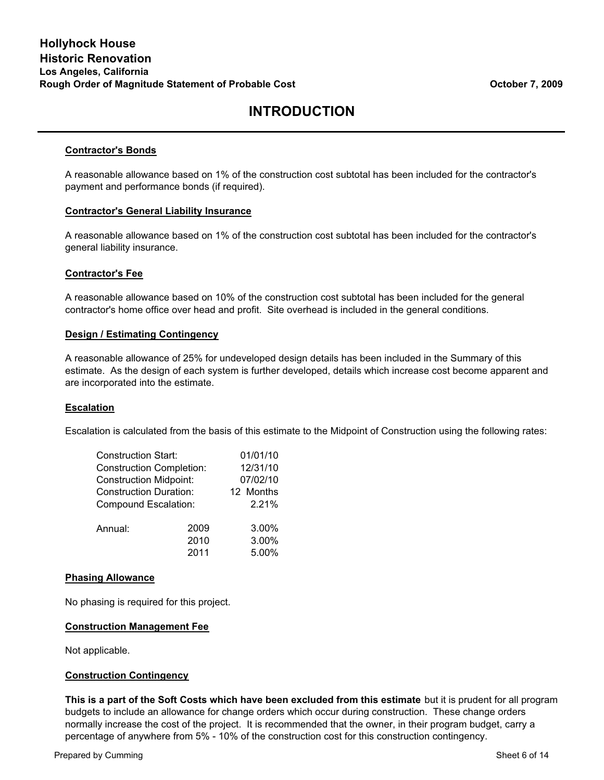#### **Contractor's Bonds**

A reasonable allowance based on 1% of the construction cost subtotal has been included for the contractor's payment and performance bonds (if required).

#### **Contractor's General Liability Insurance**

A reasonable allowance based on 1% of the construction cost subtotal has been included for the contractor's general liability insurance.

#### **Contractor's Fee**

A reasonable allowance based on 10% of the construction cost subtotal has been included for the general contractor's home office over head and profit. Site overhead is included in the general conditions.

#### **Design / Estimating Contingency**

A reasonable allowance of 25% for undeveloped design details has been included in the Summary of this estimate. As the design of each system is further developed, details which increase cost become apparent and are incorporated into the estimate.

#### **Escalation**

Escalation is calculated from the basis of this estimate to the Midpoint of Construction using the following rates:

| <b>Construction Start:</b>      |      | 01/01/10  |
|---------------------------------|------|-----------|
| <b>Construction Completion:</b> |      | 12/31/10  |
| <b>Construction Midpoint:</b>   |      | 07/02/10  |
| <b>Construction Duration:</b>   |      | 12 Months |
| Compound Escalation:            |      | 2.21%     |
| Annual:                         | 2009 | 3.00%     |
|                                 | 2010 | 3.00%     |
|                                 | 2011 | 5.00%     |

#### **Phasing Allowance**

No phasing is required for this project.

#### **Construction Management Fee**

Not applicable.

#### **Construction Contingency**

**This is a part of the Soft Costs which have been excluded from this estimate** but it is prudent for all program budgets to include an allowance for change orders which occur during construction. These change orders normally increase the cost of the project. It is recommended that the owner, in their program budget, carry a percentage of anywhere from 5% - 10% of the construction cost for this construction contingency.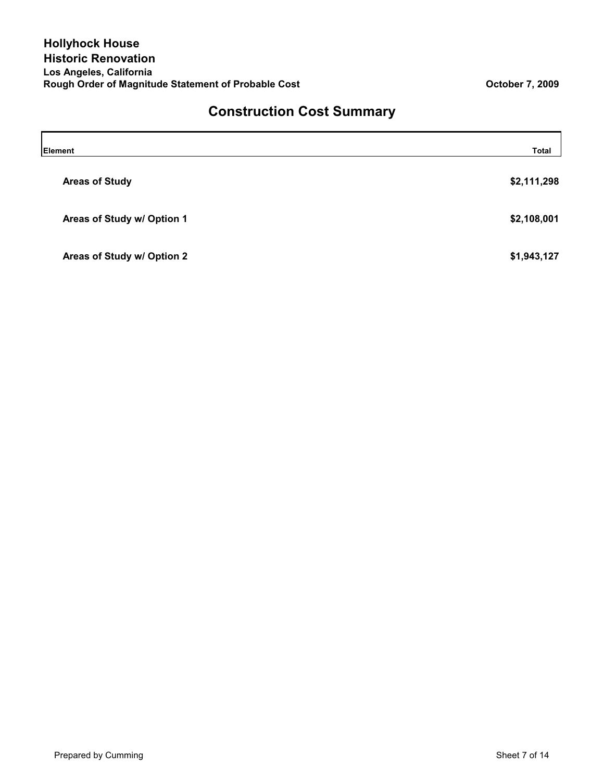# **Construction Cost Summary**

| Element                    | <b>Total</b> |
|----------------------------|--------------|
| <b>Areas of Study</b>      | \$2,111,298  |
| Areas of Study w/ Option 1 | \$2,108,001  |
| Areas of Study w/ Option 2 | \$1,943,127  |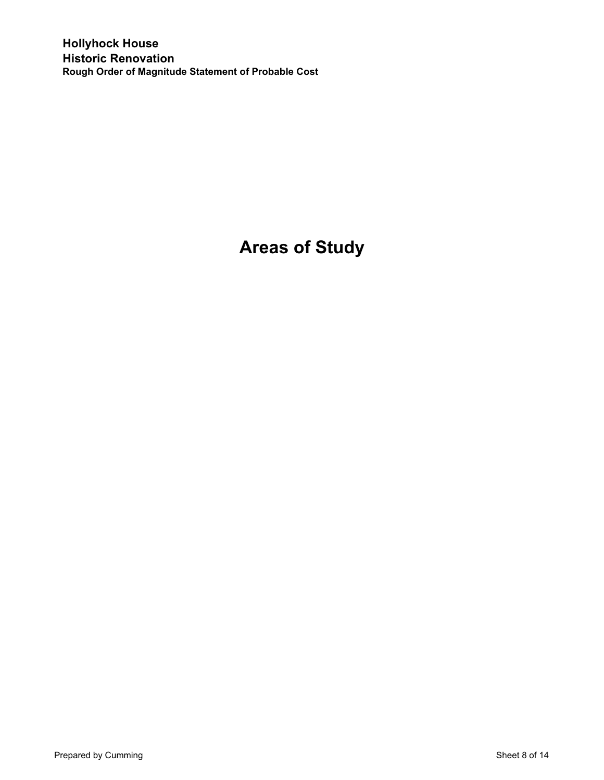**Hollyhock House Historic Renovation Rough Order of Magnitude Statement of Probable Cost**

# **Areas of Study**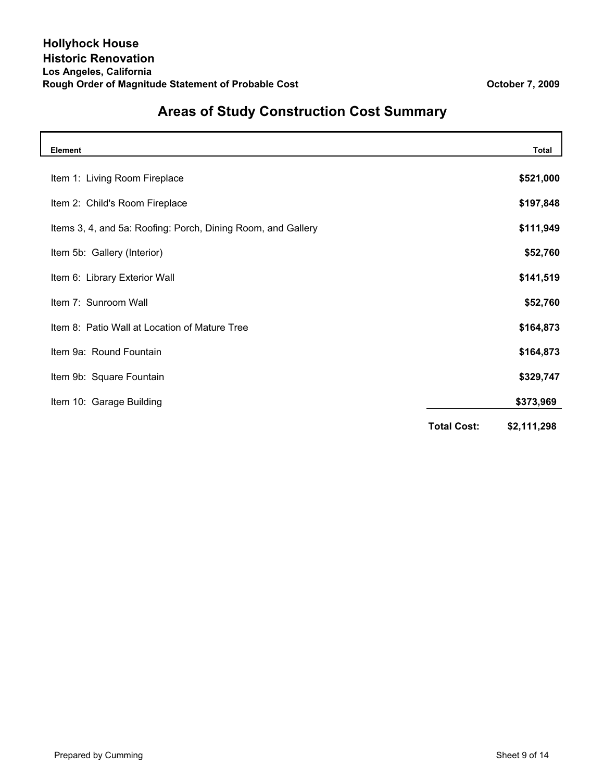| <b>Element</b>                                               |                    | <b>Total</b> |
|--------------------------------------------------------------|--------------------|--------------|
| Item 1: Living Room Fireplace                                |                    | \$521,000    |
| Item 2: Child's Room Fireplace                               |                    | \$197,848    |
| Items 3, 4, and 5a: Roofing: Porch, Dining Room, and Gallery |                    | \$111,949    |
| Item 5b: Gallery (Interior)                                  |                    | \$52,760     |
| Item 6: Library Exterior Wall                                |                    | \$141,519    |
| Item 7: Sunroom Wall                                         |                    | \$52,760     |
| Item 8: Patio Wall at Location of Mature Tree                |                    | \$164,873    |
| Item 9a: Round Fountain                                      |                    | \$164,873    |
| Item 9b: Square Fountain                                     |                    | \$329,747    |
| Item 10: Garage Building                                     |                    | \$373,969    |
|                                                              | <b>Total Cost:</b> | \$2,111,298  |

# **Areas of Study Construction Cost Summary**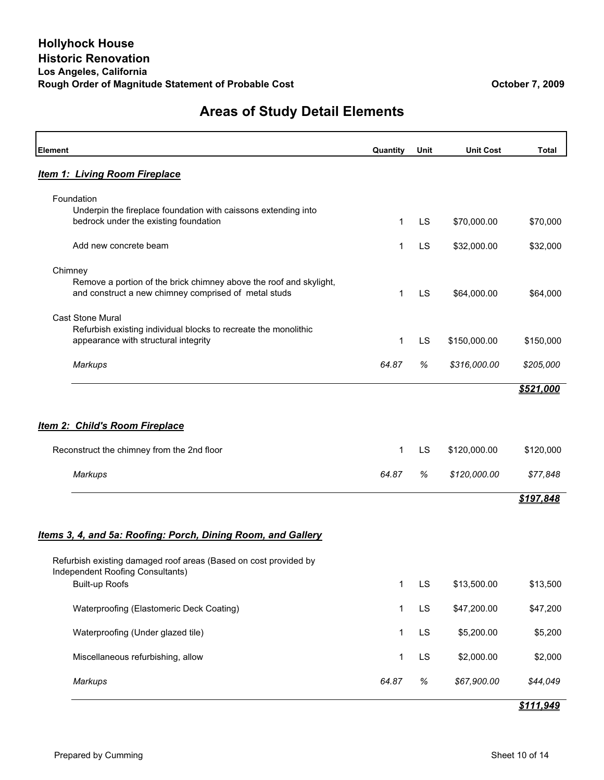### **Areas of Study Detail Elements**

| <b>Element</b>                                                                                                             | Quantity     | Unit | <b>Unit Cost</b> | <b>Total</b> |
|----------------------------------------------------------------------------------------------------------------------------|--------------|------|------------------|--------------|
| <b>Item 1: Living Room Fireplace</b>                                                                                       |              |      |                  |              |
| Foundation<br>Underpin the fireplace foundation with caissons extending into<br>bedrock under the existing foundation      | $\mathbf 1$  | LS   | \$70,000.00      | \$70,000     |
| Add new concrete beam                                                                                                      | 1            | LS   | \$32,000.00      | \$32,000     |
| Chimney                                                                                                                    |              |      |                  |              |
| Remove a portion of the brick chimney above the roof and skylight,<br>and construct a new chimney comprised of metal studs | 1            | LS   | \$64,000.00      | \$64,000     |
| <b>Cast Stone Mural</b><br>Refurbish existing individual blocks to recreate the monolithic                                 |              |      |                  |              |
| appearance with structural integrity                                                                                       | 1            | LS   | \$150,000.00     | \$150,000    |
| Markups                                                                                                                    | 64.87        | %    | \$316,000.00     | \$205,000    |
|                                                                                                                            |              |      |                  | \$521,000    |
| <b>Item 2: Child's Room Fireplace</b>                                                                                      |              |      |                  |              |
| Reconstruct the chimney from the 2nd floor                                                                                 | 1            | LS   | \$120,000.00     | \$120,000    |
| <b>Markups</b>                                                                                                             | 64.87        | %    | \$120,000.00     | \$77,848     |
|                                                                                                                            |              |      |                  | \$197,848    |
| Items 3, 4, and 5a: Roofing: Porch, Dining Room, and Gallery                                                               |              |      |                  |              |
| Refurbish existing damaged roof areas (Based on cost provided by<br>Independent Roofing Consultants)                       |              |      |                  |              |
| <b>Built-up Roofs</b>                                                                                                      | 1            | LS   | \$13,500.00      | \$13,500     |
| Waterproofing (Elastomeric Deck Coating)                                                                                   | 1            | LS   | \$47,200.00      | \$47,200     |
| Waterproofing (Under glazed tile)                                                                                          | 1            | LS   | \$5,200.00       | \$5,200      |
| Miscellaneous refurbishing, allow                                                                                          | $\mathbf{1}$ | LS   | \$2,000.00       | \$2,000      |
| <b>Markups</b>                                                                                                             | 64.87        | $\%$ | \$67,900.00      | \$44,049     |
|                                                                                                                            |              |      |                  | \$111,949    |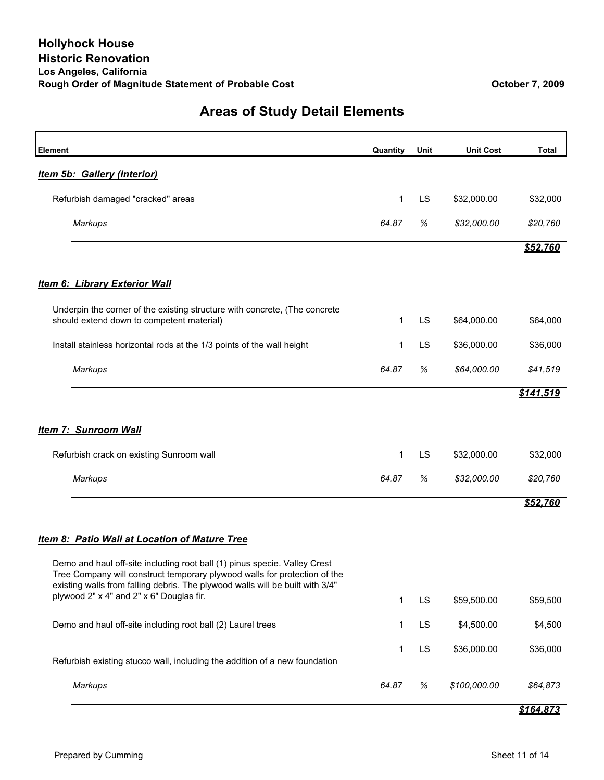### **Areas of Study Detail Elements**

| Element                                                                                                                                                                                                                                 | Quantity     | Unit      | <b>Unit Cost</b> | <b>Total</b> |
|-----------------------------------------------------------------------------------------------------------------------------------------------------------------------------------------------------------------------------------------|--------------|-----------|------------------|--------------|
| <b>Item 5b: Gallery (Interior)</b>                                                                                                                                                                                                      |              |           |                  |              |
| Refurbish damaged "cracked" areas                                                                                                                                                                                                       | 1            | <b>LS</b> | \$32,000.00      | \$32,000     |
| <b>Markups</b>                                                                                                                                                                                                                          | 64.87        | %         | \$32,000.00      | \$20,760     |
|                                                                                                                                                                                                                                         |              |           |                  | \$52,760     |
| <b>Item 6: Library Exterior Wall</b>                                                                                                                                                                                                    |              |           |                  |              |
| Underpin the corner of the existing structure with concrete, (The concrete<br>should extend down to competent material)                                                                                                                 | 1            | LS        | \$64,000.00      | \$64,000     |
| Install stainless horizontal rods at the 1/3 points of the wall height                                                                                                                                                                  | 1            | LS        | \$36,000.00      | \$36,000     |
| <b>Markups</b>                                                                                                                                                                                                                          | 64.87        | %         | \$64,000.00      | \$41,519     |
|                                                                                                                                                                                                                                         |              |           |                  | \$141,519    |
| <b>Item 7: Sunroom Wall</b>                                                                                                                                                                                                             |              |           |                  |              |
| Refurbish crack on existing Sunroom wall                                                                                                                                                                                                | 1            | <b>LS</b> | \$32,000.00      | \$32,000     |
| <b>Markups</b>                                                                                                                                                                                                                          | 64.87        | $\%$      | \$32,000.00      | \$20,760     |
|                                                                                                                                                                                                                                         |              |           |                  | \$52,760     |
| <b>Item 8: Patio Wall at Location of Mature Tree</b>                                                                                                                                                                                    |              |           |                  |              |
| Demo and haul off-site including root ball (1) pinus specie. Valley Crest<br>Tree Company will construct temporary plywood walls for protection of the<br>existing walls from falling debris. The plywood walls will be built with 3/4" |              |           |                  |              |
| plywood 2" x 4" and 2" x 6" Douglas fir.                                                                                                                                                                                                | 1            | LS        | \$59,500.00      | \$59,500     |
| Demo and haul off-site including root ball (2) Laurel trees                                                                                                                                                                             | $\mathbf{1}$ | LS        | \$4,500.00       | \$4,500      |
| Refurbish existing stucco wall, including the addition of a new foundation                                                                                                                                                              | 1            | <b>LS</b> | \$36,000.00      | \$36,000     |
| <b>Markups</b>                                                                                                                                                                                                                          | 64.87        | $\%$      | \$100,000.00     | \$64,873     |

### *\$164,873*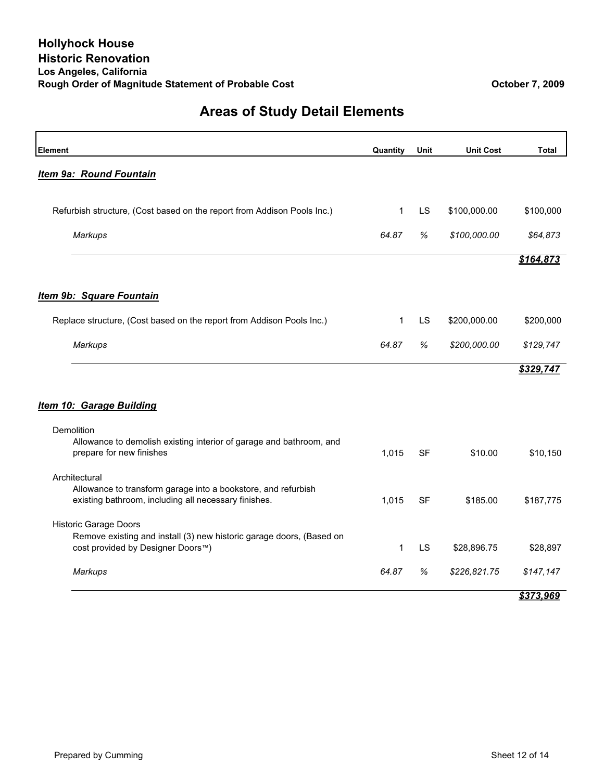### **Areas of Study Detail Elements**

| <b>Element</b>                                                                                                        | Quantity     | Unit      | <b>Unit Cost</b> | <b>Total</b> |
|-----------------------------------------------------------------------------------------------------------------------|--------------|-----------|------------------|--------------|
| <b>Item 9a: Round Fountain</b>                                                                                        |              |           |                  |              |
|                                                                                                                       |              |           |                  |              |
| Refurbish structure, (Cost based on the report from Addison Pools Inc.)                                               | $\mathbf{1}$ | LS        | \$100,000.00     | \$100,000    |
| <b>Markups</b>                                                                                                        | 64.87        | %         | \$100,000.00     | \$64,873     |
|                                                                                                                       |              |           |                  | \$164,873    |
| Item 9b: Square Fountain                                                                                              |              |           |                  |              |
| Replace structure, (Cost based on the report from Addison Pools Inc.)                                                 | $\mathbf{1}$ | LS        | \$200,000.00     | \$200,000    |
| Markups                                                                                                               | 64.87        | %         | \$200,000.00     | \$129,747    |
|                                                                                                                       |              |           |                  | \$329,747    |
| <b>Item 10: Garage Building</b>                                                                                       |              |           |                  |              |
| Demolition                                                                                                            |              |           |                  |              |
| Allowance to demolish existing interior of garage and bathroom, and<br>prepare for new finishes                       | 1,015        | SF        | \$10.00          | \$10,150     |
| Architectural                                                                                                         |              |           |                  |              |
| Allowance to transform garage into a bookstore, and refurbish<br>existing bathroom, including all necessary finishes. | 1,015        | <b>SF</b> | \$185.00         | \$187,775    |
| <b>Historic Garage Doors</b>                                                                                          |              |           |                  |              |
| Remove existing and install (3) new historic garage doors, (Based on<br>cost provided by Designer Doors™)             | $\mathbf{1}$ | LS        | \$28,896.75      | \$28,897     |
| <b>Markups</b>                                                                                                        | 64.87        | $\%$      | \$226,821.75     | \$147,147    |
|                                                                                                                       |              |           |                  | \$373,969    |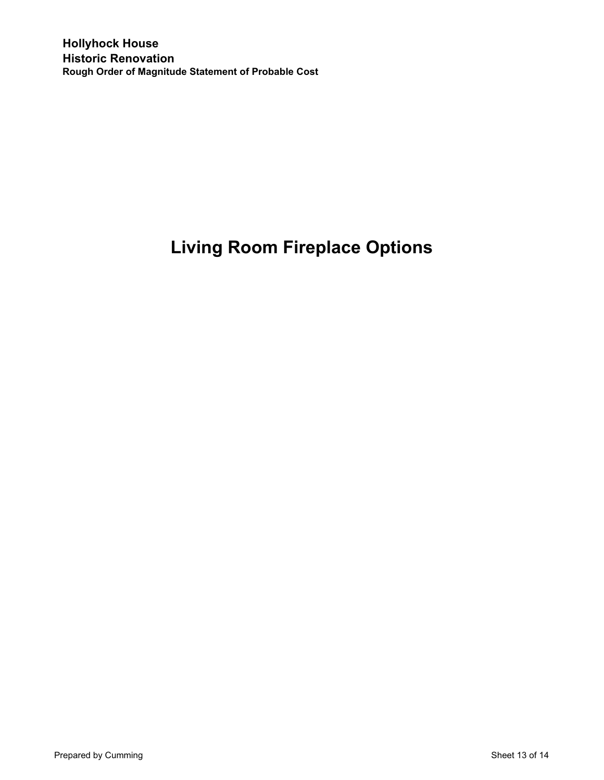# **Living Room Fireplace Options**